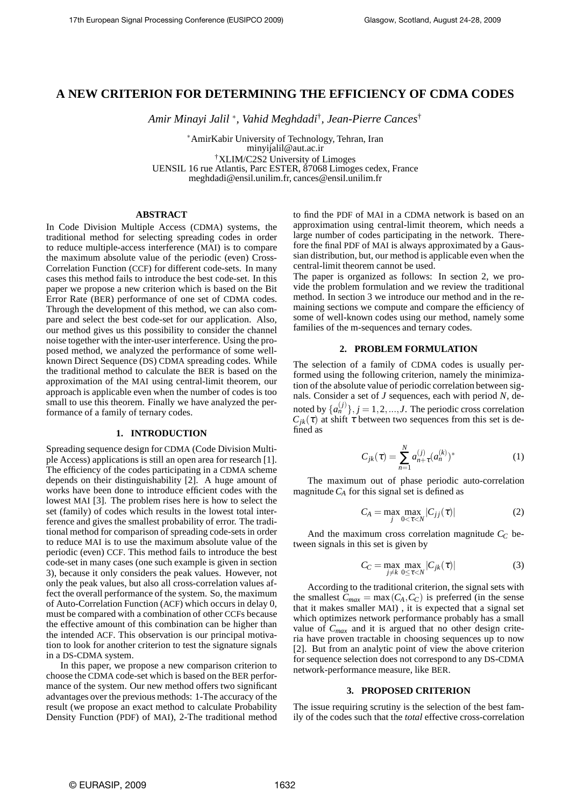# **A NEW CRITERION FOR DETERMINING THE EFFICIENCY OF CDMA CODES**

*Amir Minayi Jalil* <sup>∗</sup> *, Vahid Meghdadi*† *, Jean-Pierre Cances*†

<sup>∗</sup>AmirKabir University of Technology, Tehran, Iran minyijalil@aut.ac.ir †XLIM/C2S2 University of Limoges UENSIL 16 rue Atlantis, Parc ESTER, 87068 Limoges cedex, France meghdadi@ensil.unilim.fr, cances@ensil.unilim.fr

#### **ABSTRACT**

In Code Division Multiple Access (CDMA) systems, the traditional method for selecting spreading codes in order to reduce multiple-access interference (MAI) is to compare the maximum absolute value of the periodic (even) Cross-Correlation Function (CCF) for different code-sets. In many cases this method fails to introduce the best code-set. In this paper we propose a new criterion which is based on the Bit Error Rate (BER) performance of one set of CDMA codes. Through the development of this method, we can also compare and select the best code-set for our application. Also, our method gives us this possibility to consider the channel noise together with the inter-user interference. Using the proposed method, we analyzed the performance of some wellknown Direct Sequence (DS) CDMA spreading codes. While the traditional method to calculate the BER is based on the approximation of the MAI using central-limit theorem, our approach is applicable even when the number of codes is too small to use this theorem. Finally we have analyzed the performance of a family of ternary codes.

## **1. INTRODUCTION**

Spreading sequence design for CDMA (Code Division Multiple Access) applications is still an open area for research [1]. The efficiency of the codes participating in a CDMA scheme depends on their distinguishability [2]. A huge amount of works have been done to introduce efficient codes with the lowest MAI [3]. The problem rises here is how to select the set (family) of codes which results in the lowest total interference and gives the smallest probability of error. The traditional method for comparison of spreading code-sets in order to reduce MAI is to use the maximum absolute value of the periodic (even) CCF. This method fails to introduce the best code-set in many cases (one such example is given in section 3), because it only considers the peak values. However, not only the peak values, but also all cross-correlation values affect the overall performance of the system. So, the maximum of Auto-Correlation Function (ACF) which occurs in delay 0, must be compared with a combination of other CCFs because the effective amount of this combination can be higher than the intended ACF. This observation is our principal motivation to look for another criterion to test the signature signals in a DS-CDMA system.

In this paper, we propose a new comparison criterion to choose the CDMA code-set which is based on the BER performance of the system. Our new method offers two significant advantages over the previous methods: 1-The accuracy of the result (we propose an exact method to calculate Probability Density Function (PDF) of MAI), 2-The traditional method to find the PDF of MAI in a CDMA network is based on an approximation using central-limit theorem, which needs a large number of codes participating in the network. Therefore the final PDF of MAI is always approximated by a Gaussian distribution, but, our method is applicable even when the central-limit theorem cannot be used.

The paper is organized as follows: In section 2, we provide the problem formulation and we review the traditional method. In section 3 we introduce our method and in the remaining sections we compute and compare the efficiency of some of well-known codes using our method, namely some families of the m-sequences and ternary codes.

#### **2. PROBLEM FORMULATION**

The selection of a family of CDMA codes is usually performed using the following criterion, namely the minimization of the absolute value of periodic correlation between signals. Consider a set of *J* sequences, each with period *N*, denoted by  $\{a_n^{(j)}\}, j = 1, 2, ..., J$ . The periodic cross correlation  $C_{jk}(\tau)$  at shift  $\tau$  between two sequences from this set is defined as

$$
C_{jk}(\tau) = \sum_{n=1}^{N} a_{n+\tau}^{(j)} (a_n^{(k)})^*
$$
 (1)

The maximum out of phase periodic auto-correlation magnitude  $C_A$  for this signal set is defined as

$$
C_A = \max_j \max_{0 < \tau < N} |C_{jj}(\tau)| \tag{2}
$$

And the maximum cross correlation magnitude *C<sup>C</sup>* between signals in this set is given by

$$
C_C = \max_{j \neq k} \max_{0 \leq \tau < N} |C_{jk}(\tau)| \tag{3}
$$

According to the traditional criterion, the signal sets with the smallest  $C_{max} = \max(C_A, C_C)$  is preferred (in the sense that it makes smaller MAI) , it is expected that a signal set which optimizes network performance probably has a small value of  $C_{max}$  and it is argued that no other design criteria have proven tractable in choosing sequences up to now [2]. But from an analytic point of view the above criterion for sequence selection does not correspond to any DS-CDMA network-performance measure, like BER.

#### **3. PROPOSED CRITERION**

The issue requiring scrutiny is the selection of the best family of the codes such that the *total* effective cross-correlation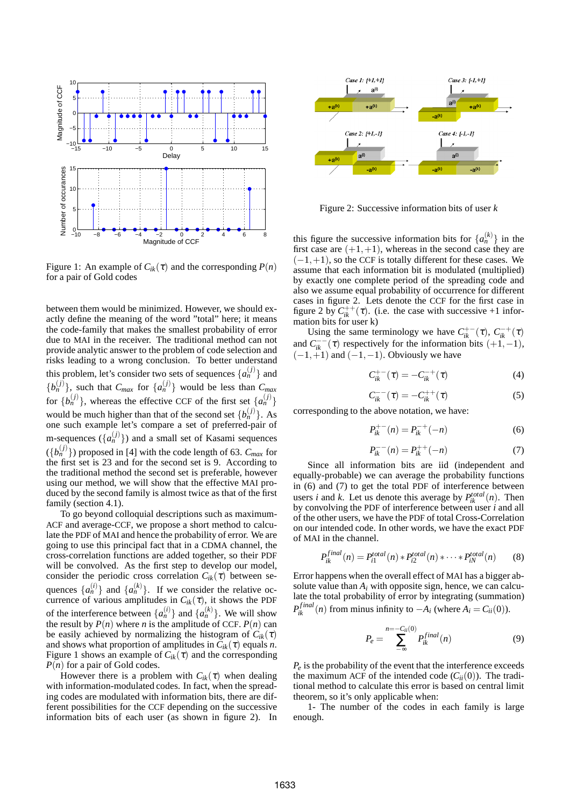

Figure 1: An example of  $C_{ik}(\tau)$  and the corresponding  $P(n)$ for a pair of Gold codes

between them would be minimized. However, we should exactly define the meaning of the word "total" here; it means the code-family that makes the smallest probability of error due to MAI in the receiver. The traditional method can not provide analytic answer to the problem of code selection and risks leading to a wrong conclusion. To better understand this problem, let's consider two sets of sequences  $\{a_n^{(j)}\}$  and  ${b_n^{(j)}},$  such that  $C_{max}$  for  ${a_n^{(j)}}$  would be less than  $C_{max}$ for  $\{b_n^{(j)}\}$ , whereas the effective CCF of the first set  $\{a_n^{(j)}\}$ would be much higher than that of the second set  ${b<sub>n</sub>}^{(j)}$ . As one such example let's compare a set of preferred-pair of m-sequences  $({a_n^{(j)}})$  and a small set of Kasami sequences  $(\lbrace b_n^{(j)} \rbrace)$  proposed in [4] with the code length of 63.  $C_{max}$  for the first set is 23 and for the second set is 9. According to the traditional method the second set is preferable, however using our method, we will show that the effective MAI produced by the second family is almost twice as that of the first family (section 4.1).

To go beyond colloquial descriptions such as maximum-ACF and average-CCF, we propose a short method to calculate the PDF of MAI and hence the probability of error. We are going to use this principal fact that in a CDMA channel, the cross-correlation functions are added together, so their PDF will be convolved. As the first step to develop our model, consider the periodic cross correlation  $C_{ik}(\tau)$  between sequences  $\{a_n^{(i)}\}$  and  $\{a_n^{(k)}\}$ . If we consider the relative occurrence of various amplitudes in  $C_{ik}(\tau)$ , it shows the PDF of the interference between  $\{a_n^{(i)}\}$  and  $\{a_n^{(k)}\}$ . We will show the result by  $P(n)$  where *n* is the amplitude of CCF.  $P(n)$  can be easily achieved by normalizing the histogram of  $C_{ik}(\tau)$ and shows what proportion of amplitudes in  $C_{ik}(\tau)$  equals *n*. Figure 1 shows an example of  $C_{ik}(\tau)$  and the corresponding *P(n)* for a pair of Gold codes.

However there is a problem with  $C_{ik}(\tau)$  when dealing with information-modulated codes. In fact, when the spreading codes are modulated with information bits, there are different possibilities for the CCF depending on the successive information bits of each user (as shown in figure 2). In



Figure 2: Successive information bits of user *k*

this figure the successive information bits for  ${a_n^{(k)}}$  in the first case are  $(+1,+1)$ , whereas in the second case they are  $(-1,+1)$ , so the CCF is totally different for these cases. We assume that each information bit is modulated (multiplied) by exactly one complete period of the spreading code and also we assume equal probability of occurrence for different cases in figure 2. Lets denote the CCF for the first case in figure 2 by  $C_{ik}^{++}(\tau)$ . (i.e. the case with successive +1 information bits for user k)

Using the same terminology we have  $C_{ik}^{+-}(\tau)$ ,  $C_{ik}^{-+}(\tau)$ and  $C_{ik}^{--}(\tau)$  respectively for the information bits  $(+1,-1)$ ,  $(-1,+1)$  and  $(-1,-1)$ . Obviously we have

$$
C_{ik}^{+-}(\tau) = -C_{ik}^{-+}(\tau)
$$
 (4)

$$
C_{ik}^{--}(\tau) = -C_{ik}^{++}(\tau)
$$
 (5)

corresponding to the above notation, we have:

$$
P_{ik}^{+-}(n) = P_{ik}^{-+}(-n)
$$
 (6)

$$
P_{ik}^{--}(n) = P_{ik}^{++}(-n)
$$
 (7)

Since all information bits are iid (independent and equally-probable) we can average the probability functions in (6) and (7) to get the total PDF of interference between users *i* and *k*. Let us denote this average by  $P_{ik}^{total}(n)$ . Then by convolving the PDF of interference between user *i* and all of the other users, we have the PDF of total Cross-Correlation on our intended code. In other words, we have the exact PDF of MAI in the channel.

$$
P_{ik}^{final}(n) = P_{i1}^{total}(n) * P_{i2}^{total}(n) * \cdots * P_{iN}^{total}(n)
$$
 (8)

Error happens when the overall effect of MAI has a bigger absolute value than  $A_i$  with opposite sign, hence, we can calculate the total probability of error by integrating (summation)  $P_{ik}^{final}(n)$  from minus infinity to  $-A_i$  (where  $A_i = C_{ii}(0)$ ).

$$
P_e = \sum_{-\infty}^{n=-C_{ii}(0)} P_{ik}^{final}(n)
$$
 (9)

 $P_e$  is the probability of the event that the interference exceeds the maximum ACF of the intended code  $(C_{ii}(0))$ . The traditional method to calculate this error is based on central limit theorem, so it's only applicable when:

1- The number of the codes in each family is large enough.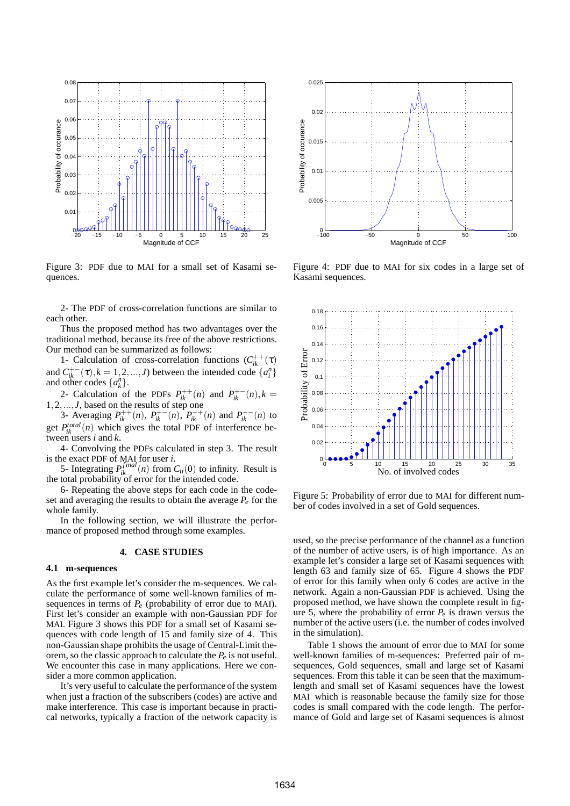

Figure 3: PDF due to MAI for a small set of Kasami sequences.

2- The PDF of cross-correlation functions are similar to each other.

Thus the proposed method has two advantages over the traditional method, because its free of the above restrictions. Our method can be summarized as follows:

1- Calculation of cross-correlation functions  $(C_{ik}^{++}(\tau))$ and  $C_{ik}^{+-}(\tau)$ ,  $k = 1, 2, ..., J$ ) between the intended code  $\{a_i^n\}$ and other codes  $\{a_k^n\}$ .

2- Calculation of the PDFs  $P_{ik}^{++}(n)$  and  $P_{ik}^{+-}(n)$ ,  $k =$ 1,2,...,*J*, based on the results of step one

3- Averaging  $P_{ik}^{++}(n)$ ,  $P_{ik}^{+-}(n)$ ,  $P_{ik}^{-+}(n)$  and  $P_{ik}^{--}(n)$  to get  $P_{ik}^{total}(n)$  which gives the total PDF of interference between users *i* and *k*.

4- Convolving the PDFs calculated in step 3. The result is the exact PDF of MAI for user *i*.

5- Integrating  $P_{ik}^{final}(n)$  from  $C_{ii}(0)$  to infinity. Result is the total probability of error for the intended code.

6- Repeating the above steps for each code in the codeset and averaging the results to obtain the average  $P_e$  for the whole family.

In the following section, we will illustrate the performance of proposed method through some examples.

### **4. CASE STUDIES**

#### **4.1 m-sequences**

As the first example let's consider the m-sequences. We calculate the performance of some well-known families of msequences in terms of  $P_e$  (probability of error due to MAI). First let's consider an example with non-Gaussian PDF for MAI. Figure 3 shows this PDF for a small set of Kasami sequences with code length of 15 and family size of 4. This non-Gaussian shape prohibits the usage of Central-Limit theorem, so the classic approach to calculate the *P<sup>e</sup>* is not useful. We encounter this case in many applications. Here we consider a more common application.

It's very useful to calculate the performance of the system when just a fraction of the subscribers (codes) are active and make interference. This case is important because in practical networks, typically a fraction of the network capacity is



Figure 4: PDF due to MAI for six codes in a large set of Kasami sequences.



Figure 5: Probability of error due to MAI for different number of codes involved in a set of Gold sequences.

used, so the precise performance of the channel as a function of the number of active users, is of high importance. As an example let's consider a large set of Kasami sequences with length 63 and family size of 65. Figure 4 shows the PDF of error for this family when only 6 codes are active in the network. Again a non-Gaussian PDF is achieved. Using the proposed method, we have shown the complete result in figure 5, where the probability of error  $P_e$  is drawn versus the number of the active users (i.e. the number of codes involved in the simulation).

Table 1 shows the amount of error due to MAI for some well-known families of m-sequences: Preferred pair of msequences, Gold sequences, small and large set of Kasami sequences. From this table it can be seen that the maximumlength and small set of Kasami sequences have the lowest MAI which is reasonable because the family size for those codes is small compared with the code length. The performance of Gold and large set of Kasami sequences is almost